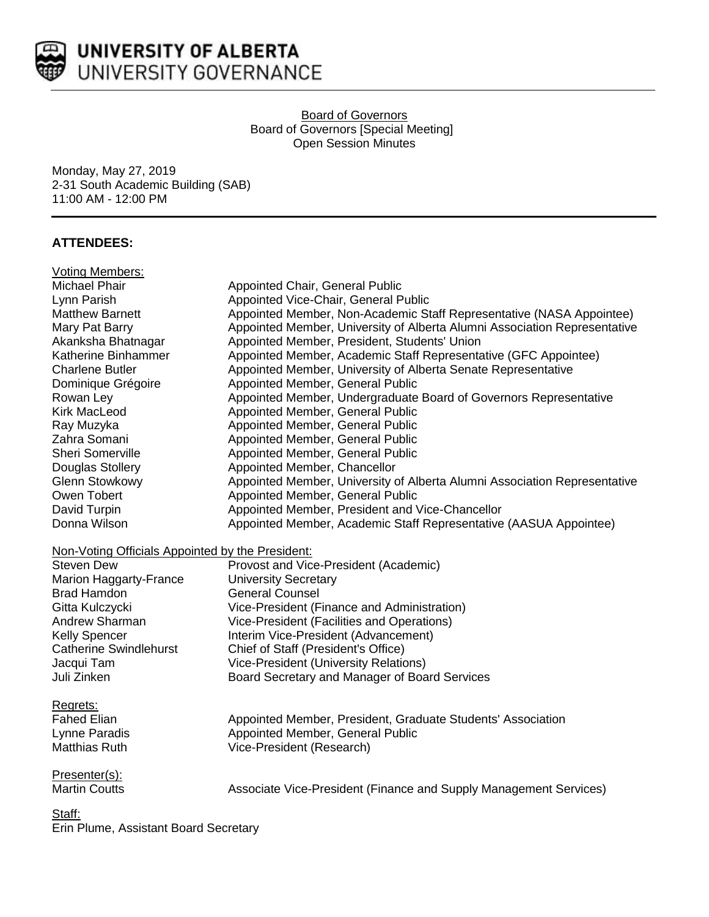

UNIVERSITY OF ALBERTA UNIVERSITY GOVERNANCE

> Board of Governors Board of Governors [Special Meeting] Open Session Minutes

Monday, May 27, 2019 2-31 South Academic Building (SAB) 11:00 AM - 12:00 PM

# **ATTENDEES:**

| <b>Voting Members:</b>                           |                                                                           |
|--------------------------------------------------|---------------------------------------------------------------------------|
| Michael Phair                                    | Appointed Chair, General Public                                           |
| Lynn Parish                                      | Appointed Vice-Chair, General Public                                      |
| <b>Matthew Barnett</b>                           | Appointed Member, Non-Academic Staff Representative (NASA Appointee)      |
| Mary Pat Barry                                   | Appointed Member, University of Alberta Alumni Association Representative |
| Akanksha Bhatnagar                               | Appointed Member, President, Students' Union                              |
| Katherine Binhammer                              | Appointed Member, Academic Staff Representative (GFC Appointee)           |
| <b>Charlene Butler</b>                           | Appointed Member, University of Alberta Senate Representative             |
| Dominique Grégoire                               | Appointed Member, General Public                                          |
| Rowan Ley                                        | Appointed Member, Undergraduate Board of Governors Representative         |
| <b>Kirk MacLeod</b>                              | Appointed Member, General Public                                          |
| Ray Muzyka                                       | Appointed Member, General Public                                          |
| Zahra Somani                                     | Appointed Member, General Public                                          |
| Sheri Somerville                                 | Appointed Member, General Public                                          |
| Douglas Stollery                                 | Appointed Member, Chancellor                                              |
| <b>Glenn Stowkowy</b>                            | Appointed Member, University of Alberta Alumni Association Representative |
| Owen Tobert                                      | Appointed Member, General Public                                          |
| David Turpin                                     | Appointed Member, President and Vice-Chancellor                           |
| Donna Wilson                                     | Appointed Member, Academic Staff Representative (AASUA Appointee)         |
| Non-Voting Officials Appointed by the President: |                                                                           |
| <b>Steven Dew</b>                                | Provost and Vice-President (Academic)                                     |
| Marion Haggarty-France                           | <b>University Secretary</b>                                               |
| <b>Brad Hamdon</b>                               | <b>General Counsel</b>                                                    |
| Gitta Kulczycki                                  | Vice-President (Finance and Administration)                               |
| Andrew Sharman                                   | Vice-President (Facilities and Operations)                                |
| <b>Kelly Spencer</b>                             | Interim Vice-President (Advancement)                                      |
| <b>Catherine Swindlehurst</b>                    | Chief of Staff (President's Office)                                       |
| Jacqui Tam                                       | Vice-President (University Relations)                                     |
| Juli Zinken                                      | Board Secretary and Manager of Board Services                             |
| Regrets:                                         |                                                                           |
| <b>Fahed Elian</b>                               | Appointed Member, President, Graduate Students' Association               |
| Lynne Paradis                                    | Appointed Member, General Public                                          |
| <b>Matthias Ruth</b>                             | Vice-President (Research)                                                 |
| Presenter(s):                                    |                                                                           |
| <b>Martin Coutts</b>                             | Associate Vice-President (Finance and Supply Management Services)         |
| Staff:                                           |                                                                           |

Erin Plume, Assistant Board Secretary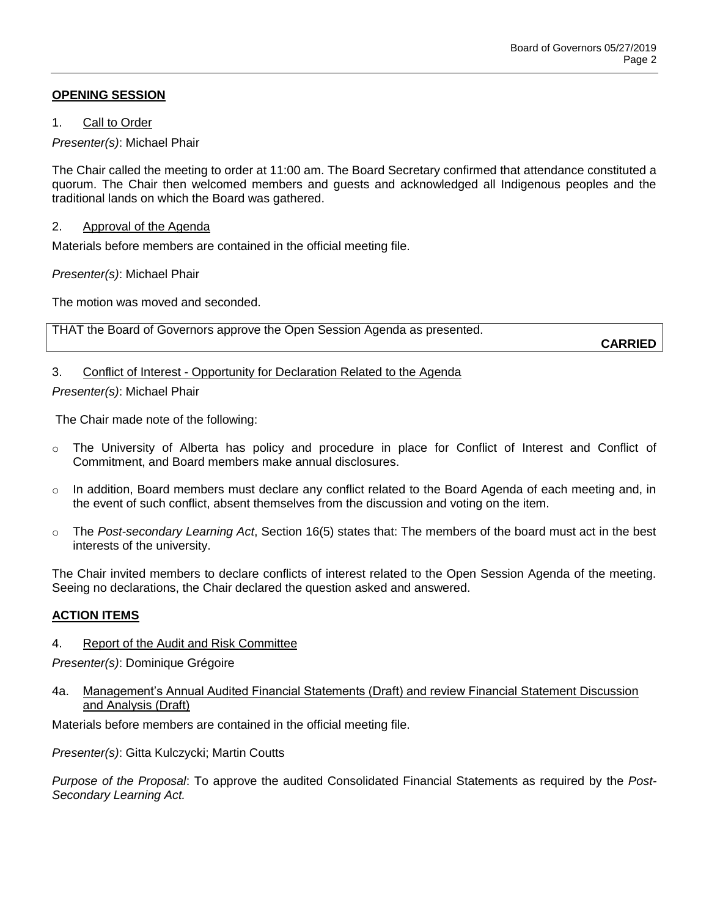# **OPENING SESSION**

1. Call to Order

*Presenter(s)*: Michael Phair

The Chair called the meeting to order at 11:00 am. The Board Secretary confirmed that attendance constituted a quorum. The Chair then welcomed members and guests and acknowledged all Indigenous peoples and the traditional lands on which the Board was gathered.

### 2. Approval of the Agenda

Materials before members are contained in the official meeting file.

*Presenter(s)*: Michael Phair

The motion was moved and seconded.

THAT the Board of Governors approve the Open Session Agenda as presented.

**CARRIED**

# 3. Conflict of Interest - Opportunity for Declaration Related to the Agenda

*Presenter(s)*: Michael Phair

The Chair made note of the following:

- o The University of Alberta has policy and procedure in place for Conflict of Interest and Conflict of Commitment, and Board members make annual disclosures.
- $\circ$  In addition, Board members must declare any conflict related to the Board Agenda of each meeting and, in the event of such conflict, absent themselves from the discussion and voting on the item.
- o The *Post-secondary Learning Act*, Section 16(5) states that: The members of the board must act in the best interests of the university.

The Chair invited members to declare conflicts of interest related to the Open Session Agenda of the meeting. Seeing no declarations, the Chair declared the question asked and answered.

### **ACTION ITEMS**

4. Report of the Audit and Risk Committee

*Presenter(s)*: Dominique Grégoire

4a. Management's Annual Audited Financial Statements (Draft) and review Financial Statement Discussion and Analysis (Draft)

Materials before members are contained in the official meeting file.

*Presenter(s)*: Gitta Kulczycki; Martin Coutts

*Purpose of the Proposal*: To approve the audited Consolidated Financial Statements as required by the *Post-Secondary Learning Act.*